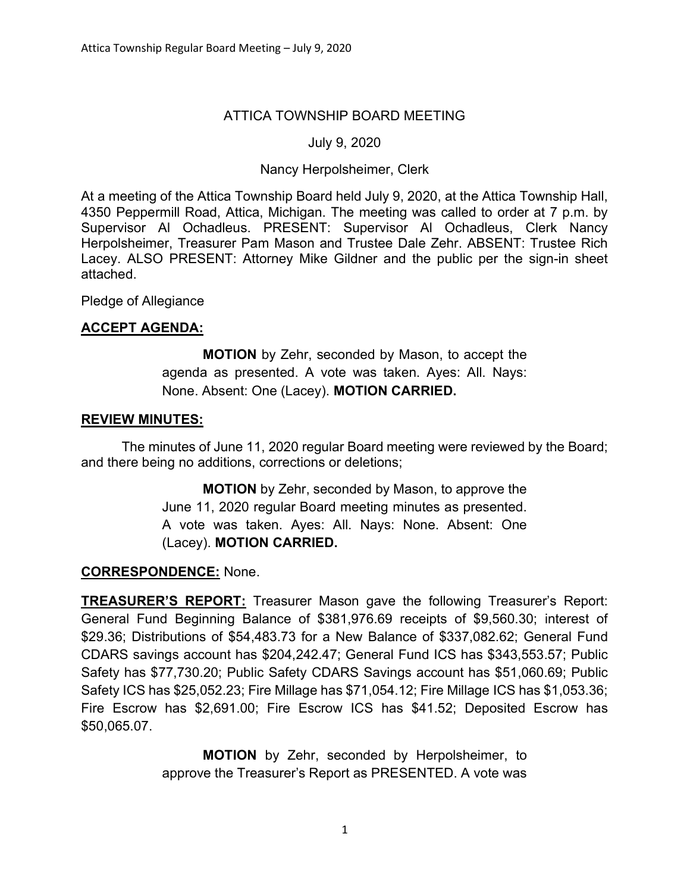## ATTICA TOWNSHIP BOARD MEETING

### July 9, 2020

#### Nancy Herpolsheimer, Clerk

At a meeting of the Attica Township Board held July 9, 2020, at the Attica Township Hall, 4350 Peppermill Road, Attica, Michigan. The meeting was called to order at 7 p.m. by Supervisor Al Ochadleus. PRESENT: Supervisor Al Ochadleus, Clerk Nancy Herpolsheimer, Treasurer Pam Mason and Trustee Dale Zehr. ABSENT: Trustee Rich Lacey. ALSO PRESENT: Attorney Mike Gildner and the public per the sign-in sheet attached.

Pledge of Allegiance

## ACCEPT AGENDA:

MOTION by Zehr, seconded by Mason, to accept the agenda as presented. A vote was taken. Ayes: All. Nays: None. Absent: One (Lacey). MOTION CARRIED.

#### REVIEW MINUTES:

The minutes of June 11, 2020 regular Board meeting were reviewed by the Board; and there being no additions, corrections or deletions;

> MOTION by Zehr, seconded by Mason, to approve the June 11, 2020 regular Board meeting minutes as presented. A vote was taken. Ayes: All. Nays: None. Absent: One (Lacey). MOTION CARRIED.

#### CORRESPONDENCE: None.

TREASURER'S REPORT: Treasurer Mason gave the following Treasurer's Report: General Fund Beginning Balance of \$381,976.69 receipts of \$9,560.30; interest of \$29.36; Distributions of \$54,483.73 for a New Balance of \$337,082.62; General Fund CDARS savings account has \$204,242.47; General Fund ICS has \$343,553.57; Public Safety has \$77,730.20; Public Safety CDARS Savings account has \$51,060.69; Public Safety ICS has \$25,052.23; Fire Millage has \$71,054.12; Fire Millage ICS has \$1,053.36; Fire Escrow has \$2,691.00; Fire Escrow ICS has \$41.52; Deposited Escrow has \$50,065.07.

> MOTION by Zehr, seconded by Herpolsheimer, to approve the Treasurer's Report as PRESENTED. A vote was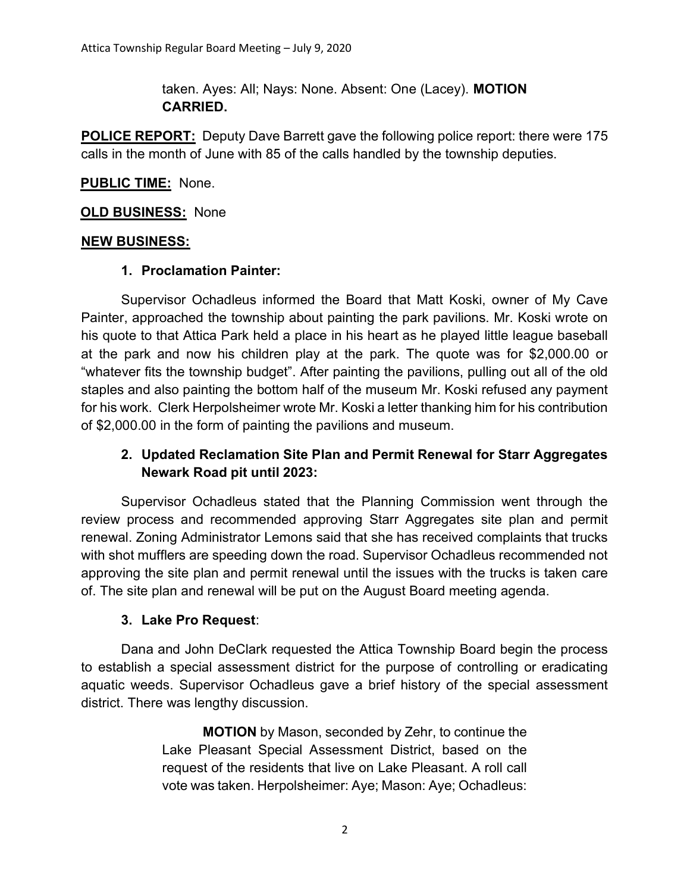taken. Ayes: All; Nays: None. Absent: One (Lacey). MOTION CARRIED.

POLICE REPORT: Deputy Dave Barrett gave the following police report: there were 175 calls in the month of June with 85 of the calls handled by the township deputies.

## PUBLIC TIME: None.

#### **OLD BUSINESS: None**

#### NEW BUSINESS:

#### 1. Proclamation Painter:

 Supervisor Ochadleus informed the Board that Matt Koski, owner of My Cave Painter, approached the township about painting the park pavilions. Mr. Koski wrote on his quote to that Attica Park held a place in his heart as he played little league baseball at the park and now his children play at the park. The quote was for \$2,000.00 or "whatever fits the township budget". After painting the pavilions, pulling out all of the old staples and also painting the bottom half of the museum Mr. Koski refused any payment for his work. Clerk Herpolsheimer wrote Mr. Koski a letter thanking him for his contribution of \$2,000.00 in the form of painting the pavilions and museum.

# 2. Updated Reclamation Site Plan and Permit Renewal for Starr Aggregates Newark Road pit until 2023:

Supervisor Ochadleus stated that the Planning Commission went through the review process and recommended approving Starr Aggregates site plan and permit renewal. Zoning Administrator Lemons said that she has received complaints that trucks with shot mufflers are speeding down the road. Supervisor Ochadleus recommended not approving the site plan and permit renewal until the issues with the trucks is taken care of. The site plan and renewal will be put on the August Board meeting agenda.

#### 3. Lake Pro Request:

 Dana and John DeClark requested the Attica Township Board begin the process to establish a special assessment district for the purpose of controlling or eradicating aquatic weeds. Supervisor Ochadleus gave a brief history of the special assessment district. There was lengthy discussion.

> MOTION by Mason, seconded by Zehr, to continue the Lake Pleasant Special Assessment District, based on the request of the residents that live on Lake Pleasant. A roll call vote was taken. Herpolsheimer: Aye; Mason: Aye; Ochadleus: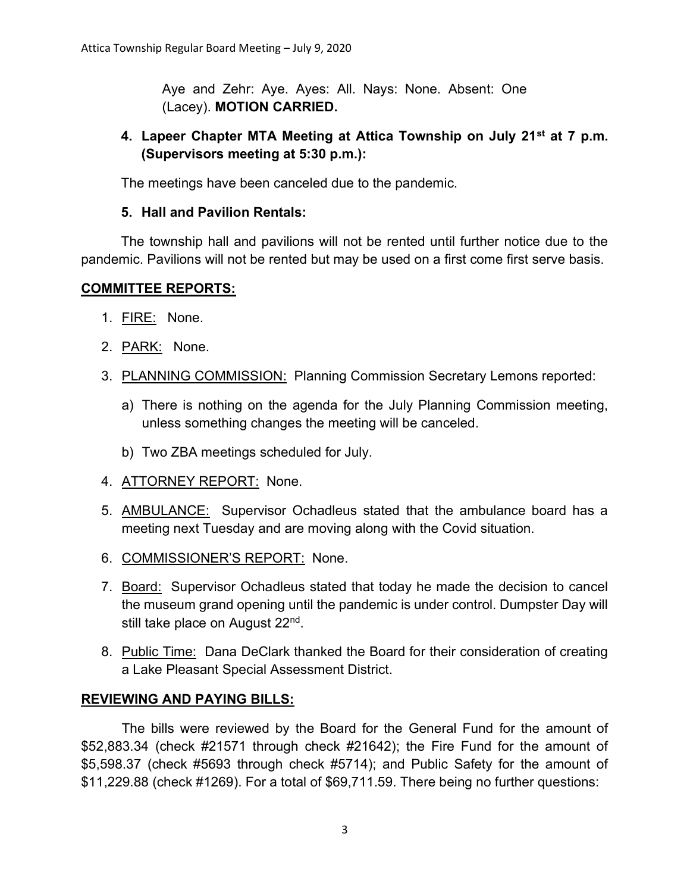Aye and Zehr: Aye. Ayes: All. Nays: None. Absent: One (Lacey). MOTION CARRIED.

# 4. Lapeer Chapter MTA Meeting at Attica Township on July 21<sup>st</sup> at 7 p.m. (Supervisors meeting at 5:30 p.m.):

The meetings have been canceled due to the pandemic.

## 5. Hall and Pavilion Rentals:

 The township hall and pavilions will not be rented until further notice due to the pandemic. Pavilions will not be rented but may be used on a first come first serve basis.

## COMMITTEE REPORTS:

- 1. FIRE: None.
- 2. PARK: None.
- 3. PLANNING COMMISSION: Planning Commission Secretary Lemons reported:
	- a) There is nothing on the agenda for the July Planning Commission meeting, unless something changes the meeting will be canceled.
	- b) Two ZBA meetings scheduled for July.
- 4. ATTORNEY REPORT: None.
- 5. AMBULANCE: Supervisor Ochadleus stated that the ambulance board has a meeting next Tuesday and are moving along with the Covid situation.
- 6. COMMISSIONER'S REPORT: None.
- 7. Board: Supervisor Ochadleus stated that today he made the decision to cancel the museum grand opening until the pandemic is under control. Dumpster Day will still take place on August 22<sup>nd</sup>.
- 8. Public Time: Dana DeClark thanked the Board for their consideration of creating a Lake Pleasant Special Assessment District.

## REVIEWING AND PAYING BILLS:

The bills were reviewed by the Board for the General Fund for the amount of \$52,883.34 (check #21571 through check #21642); the Fire Fund for the amount of \$5,598.37 (check #5693 through check #5714); and Public Safety for the amount of \$11,229.88 (check #1269). For a total of \$69,711.59. There being no further questions: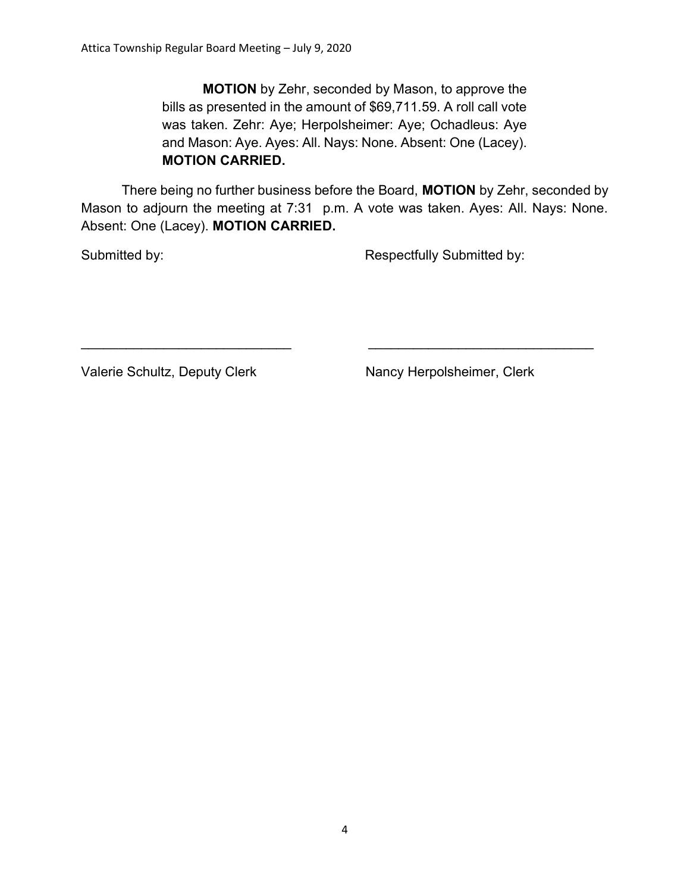MOTION by Zehr, seconded by Mason, to approve the bills as presented in the amount of \$69,711.59. A roll call vote was taken. Zehr: Aye; Herpolsheimer: Aye; Ochadleus: Aye and Mason: Aye. Ayes: All. Nays: None. Absent: One (Lacey). MOTION CARRIED.

There being no further business before the Board, MOTION by Zehr, seconded by Mason to adjourn the meeting at 7:31 p.m. A vote was taken. Ayes: All. Nays: None. Absent: One (Lacey). MOTION CARRIED.

 $\mathcal{L}_\text{max}$  , and the contribution of the contribution of the contribution of the contribution of the contribution of the contribution of the contribution of the contribution of the contribution of the contribution of t

Submitted by: Submitted by: Respectfully Submitted by:

Valerie Schultz, Deputy Clerk Nancy Herpolsheimer, Clerk